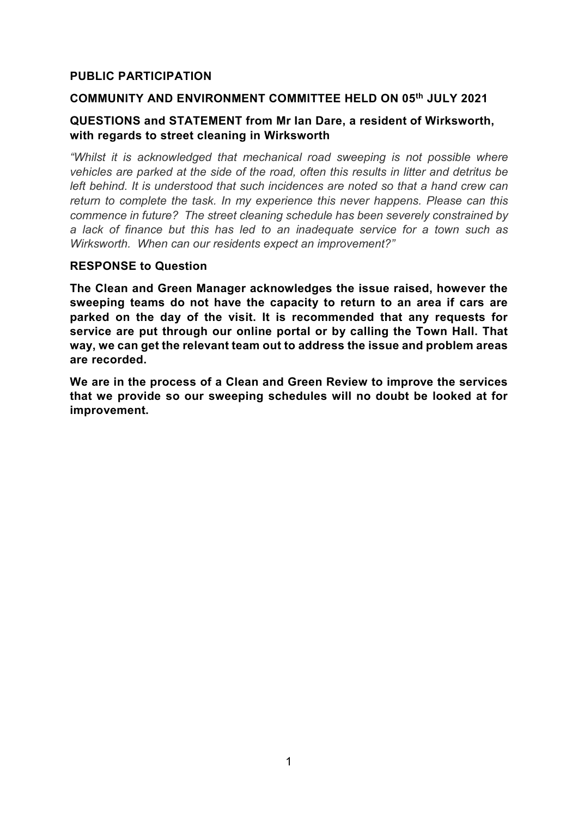# **PUBLIC PARTICIPATION**

#### **COMMUNITY AND ENVIRONMENT COMMITTEE HELD ON 05th JULY 2021**

## **QUESTIONS and STATEMENT from Mr Ian Dare, a resident of Wirksworth, with regards to street cleaning in Wirksworth**

*"Whilst it is acknowledged that mechanical road sweeping is not possible where vehicles are parked at the side of the road, often this results in litter and detritus be left behind. It is understood that such incidences are noted so that a hand crew can return to complete the task. In my experience this never happens. Please can this commence in future? The street cleaning schedule has been severely constrained by a lack of finance but this has led to an inadequate service for a town such as Wirksworth. When can our residents expect an improvement?"*

#### **RESPONSE to Question**

**The Clean and Green Manager acknowledges the issue raised, however the sweeping teams do not have the capacity to return to an area if cars are parked on the day of the visit. It is recommended that any requests for service are put through our online portal or by calling the Town Hall. That way, we can get the relevant team out to address the issue and problem areas are recorded.** 

**We are in the process of a Clean and Green Review to improve the services that we provide so our sweeping schedules will no doubt be looked at for improvement.**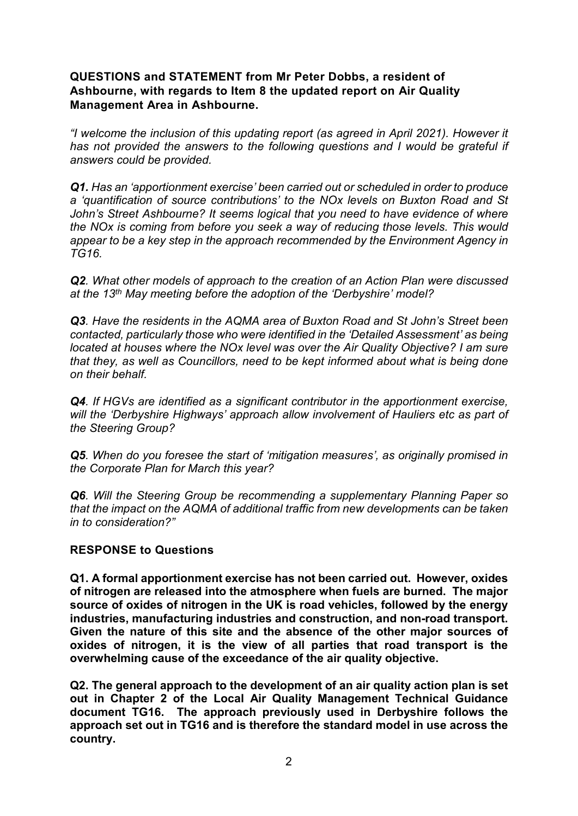# **QUESTIONS and STATEMENT from Mr Peter Dobbs, a resident of Ashbourne, with regards to Item 8 the updated report on Air Quality Management Area in Ashbourne.**

*"I welcome the inclusion of this updating report (as agreed in April 2021). However it*  has not provided the answers to the following questions and I would be grateful if *answers could be provided.*

*Q1. Has an 'apportionment exercise' been carried out or scheduled in order to produce a 'quantification of source contributions' to the NOx levels on Buxton Road and St John's Street Ashbourne? It seems logical that you need to have evidence of where the NOx is coming from before you seek a way of reducing those levels. This would appear to be a key step in the approach recommended by the Environment Agency in TG16.*

*Q2. What other models of approach to the creation of an Action Plan were discussed at the 13th May meeting before the adoption of the 'Derbyshire' model?*

*Q3. Have the residents in the AQMA area of Buxton Road and St John's Street been contacted, particularly those who were identified in the 'Detailed Assessment' as being located at houses where the NOx level was over the Air Quality Objective? I am sure that they, as well as Councillors, need to be kept informed about what is being done on their behalf.*

*Q4. If HGVs are identified as a significant contributor in the apportionment exercise, will the 'Derbyshire Highways' approach allow involvement of Hauliers etc as part of the Steering Group?*

*Q5. When do you foresee the start of 'mitigation measures', as originally promised in the Corporate Plan for March this year?* 

*Q6. Will the Steering Group be recommending a supplementary Planning Paper so that the impact on the AQMA of additional traffic from new developments can be taken in to consideration?"*

#### **RESPONSE to Questions**

**Q1. A formal apportionment exercise has not been carried out. However, oxides of nitrogen are released into the atmosphere when fuels are burned. The major source of oxides of nitrogen in the UK is road vehicles, followed by the energy industries, manufacturing industries and construction, and non-road transport. Given the nature of this site and the absence of the other major sources of oxides of nitrogen, it is the view of all parties that road transport is the overwhelming cause of the exceedance of the air quality objective.**

**Q2. The general approach to the development of an air quality action plan is set out in Chapter 2 of the Local Air Quality Management Technical Guidance document TG16. The approach previously used in Derbyshire follows the approach set out in TG16 and is therefore the standard model in use across the country.**